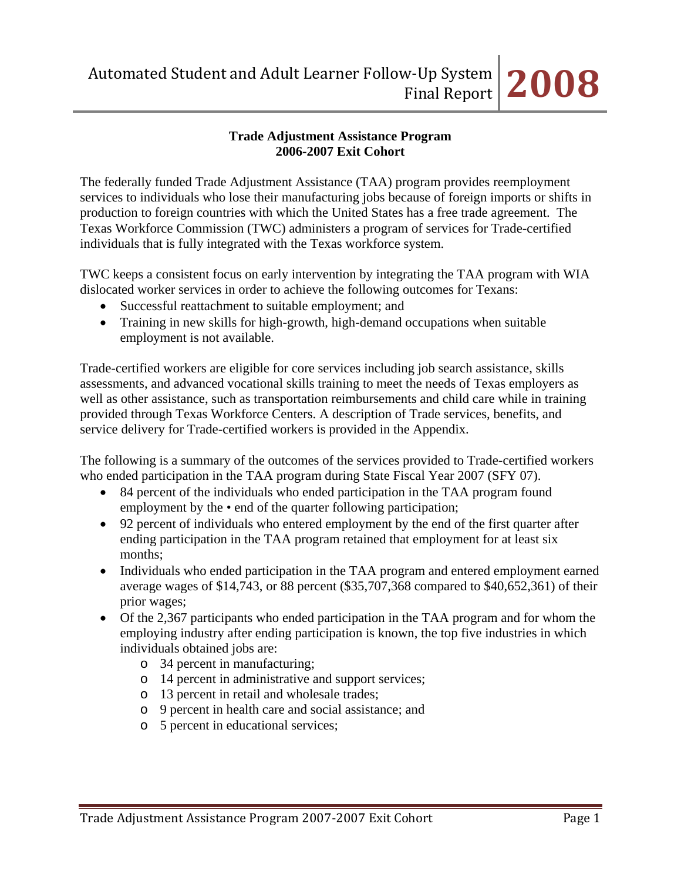# **Trade Adjustment Assistance Program 2006-2007 Exit Cohort**

The federally funded Trade Adjustment Assistance (TAA) program provides reemployment services to individuals who lose their manufacturing jobs because of foreign imports or shifts in production to foreign countries with which the United States has a free trade agreement. The Texas Workforce Commission (TWC) administers a program of services for Trade-certified individuals that is fully integrated with the Texas workforce system.

TWC keeps a consistent focus on early intervention by integrating the TAA program with WIA dislocated worker services in order to achieve the following outcomes for Texans:

- Successful reattachment to suitable employment; and
- Training in new skills for high-growth, high-demand occupations when suitable employment is not available.

Trade-certified workers are eligible for core services including job search assistance, skills assessments, and advanced vocational skills training to meet the needs of Texas employers as well as other assistance, such as transportation reimbursements and child care while in training provided through Texas Workforce Centers. A description of Trade services, benefits, and service delivery for Trade-certified workers is provided in the Appendix.

The following is a summary of the outcomes of the services provided to Trade-certified workers who ended participation in the TAA program during State Fiscal Year 2007 (SFY 07).

- 84 percent of the individuals who ended participation in the TAA program found employment by the  $\bullet$  end of the quarter following participation;
- 92 percent of individuals who entered employment by the end of the first quarter after ending participation in the TAA program retained that employment for at least six months;
- Individuals who ended participation in the TAA program and entered employment earned average wages of \$14,743, or 88 percent (\$35,707,368 compared to \$40,652,361) of their prior wages;
- Of the 2,367 participants who ended participation in the TAA program and for whom the employing industry after ending participation is known, the top five industries in which individuals obtained jobs are:
	- o 34 percent in manufacturing;
	- o 14 percent in administrative and support services;
	- o 13 percent in retail and wholesale trades;
	- o 9 percent in health care and social assistance; and
	- o 5 percent in educational services;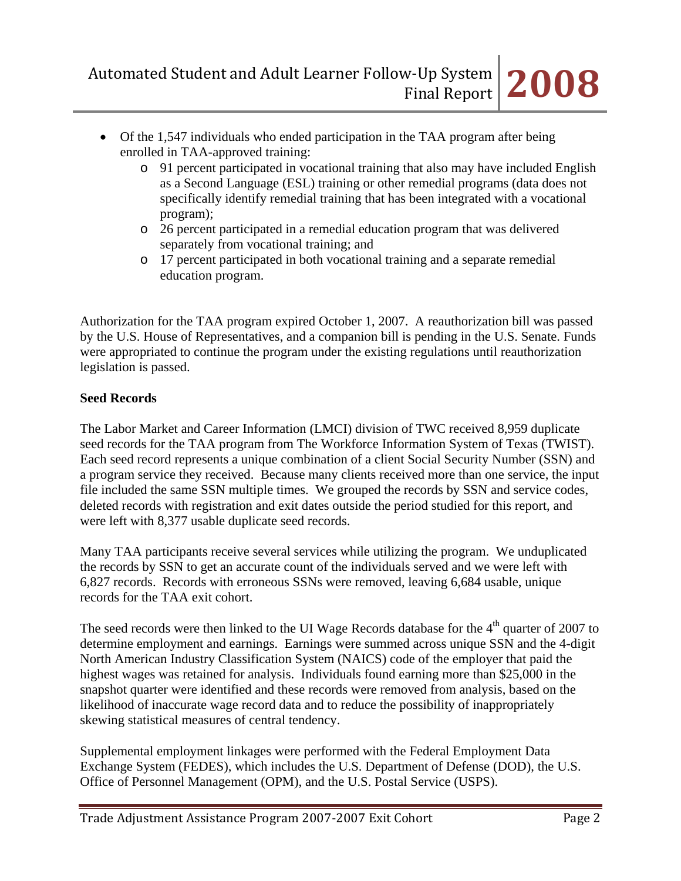- Of the 1,547 individuals who ended participation in the TAA program after being enrolled in TAA-approved training:
	- o 91 percent participated in vocational training that also may have included English as a Second Language (ESL) training or other remedial programs (data does not specifically identify remedial training that has been integrated with a vocational program);
	- o 26 percent participated in a remedial education program that was delivered separately from vocational training; and
	- o 17 percent participated in both vocational training and a separate remedial education program.

Authorization for the TAA program expired October 1, 2007. A reauthorization bill was passed by the U.S. House of Representatives, and a companion bill is pending in the U.S. Senate. Funds were appropriated to continue the program under the existing regulations until reauthorization legislation is passed.

# **Seed Records**

The Labor Market and Career Information (LMCI) division of TWC received 8,959 duplicate seed records for the TAA program from The Workforce Information System of Texas (TWIST). Each seed record represents a unique combination of a client Social Security Number (SSN) and a program service they received. Because many clients received more than one service, the input file included the same SSN multiple times. We grouped the records by SSN and service codes, deleted records with registration and exit dates outside the period studied for this report, and were left with 8,377 usable duplicate seed records.

Many TAA participants receive several services while utilizing the program. We unduplicated the records by SSN to get an accurate count of the individuals served and we were left with 6,827 records. Records with erroneous SSNs were removed, leaving 6,684 usable, unique records for the TAA exit cohort.

The seed records were then linked to the UI Wage Records database for the  $4<sup>th</sup>$  quarter of 2007 to determine employment and earnings. Earnings were summed across unique SSN and the 4-digit North American Industry Classification System (NAICS) code of the employer that paid the highest wages was retained for analysis. Individuals found earning more than \$25,000 in the snapshot quarter were identified and these records were removed from analysis, based on the likelihood of inaccurate wage record data and to reduce the possibility of inappropriately skewing statistical measures of central tendency.

Supplemental employment linkages were performed with the Federal Employment Data Exchange System (FEDES), which includes the U.S. Department of Defense (DOD), the U.S. Office of Personnel Management (OPM), and the U.S. Postal Service (USPS).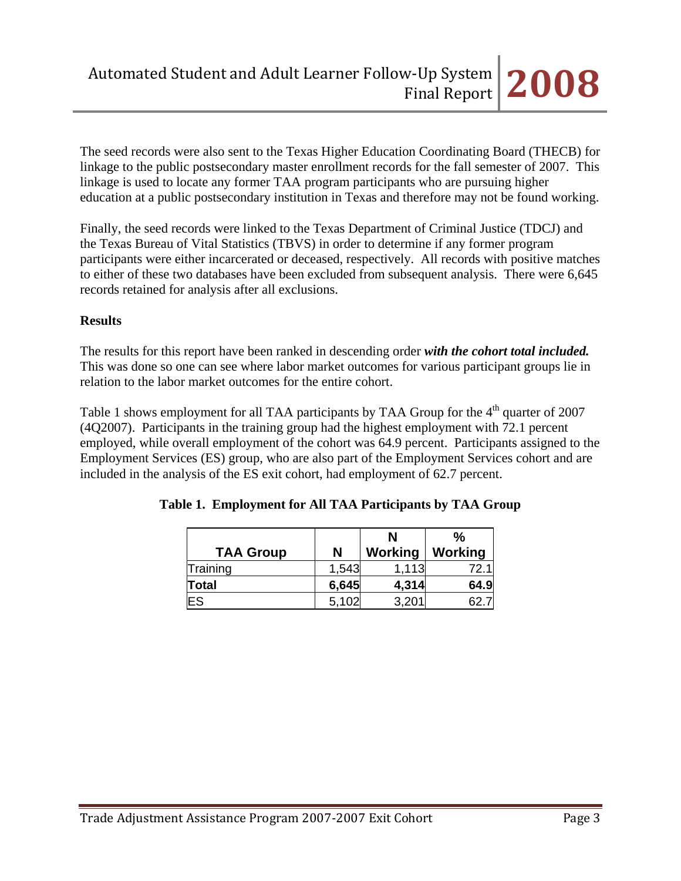The seed records were also sent to the Texas Higher Education Coordinating Board (THECB) for linkage to the public postsecondary master enrollment records for the fall semester of 2007. This linkage is used to locate any former TAA program participants who are pursuing higher education at a public postsecondary institution in Texas and therefore may not be found working.

Finally, the seed records were linked to the Texas Department of Criminal Justice (TDCJ) and the Texas Bureau of Vital Statistics (TBVS) in order to determine if any former program participants were either incarcerated or deceased, respectively. All records with positive matches to either of these two databases have been excluded from subsequent analysis. There were 6,645 records retained for analysis after all exclusions.

# **Results**

The results for this report have been ranked in descending order *with the cohort total included.* This was done so one can see where labor market outcomes for various participant groups lie in relation to the labor market outcomes for the entire cohort.

Table 1 shows employment for all TAA participants by TAA Group for the 4<sup>th</sup> quarter of 2007 (4Q2007). Participants in the training group had the highest employment with 72.1 percent employed, while overall employment of the cohort was 64.9 percent. Participants assigned to the Employment Services (ES) group, who are also part of the Employment Services cohort and are included in the analysis of the ES exit cohort, had employment of 62.7 percent.

|                  |       | N       | $\%$    |
|------------------|-------|---------|---------|
| <b>TAA Group</b> | N     | Working | Working |
| Training         | 1,543 | 1,113   | 72.     |
| Total            | 6,645 | 4,314   | 64.9    |
| ES               | 5,102 | 3,201   |         |

**Table 1. Employment for All TAA Participants by TAA Group**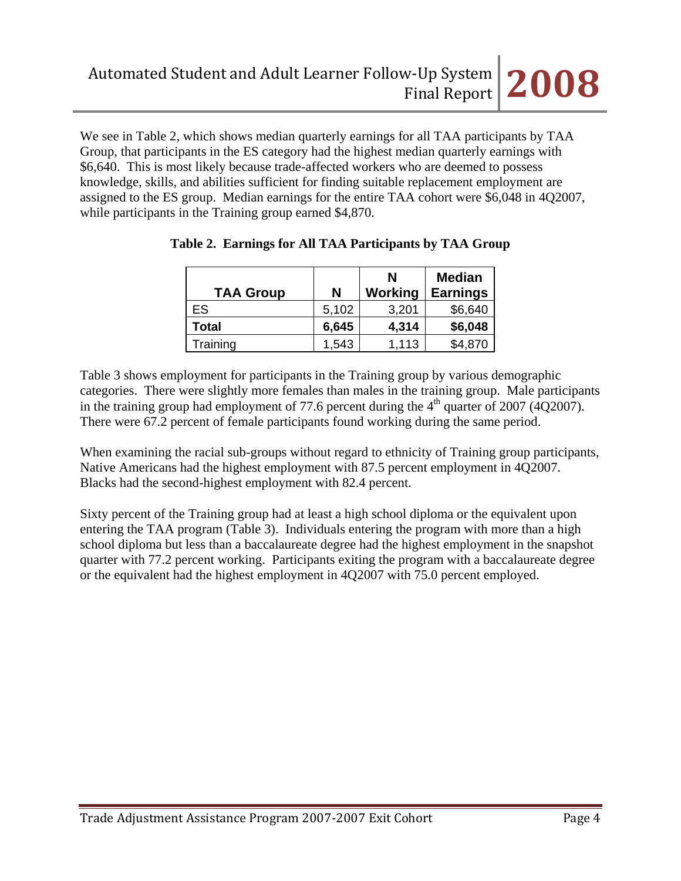We see in Table 2, which shows median quarterly earnings for all TAA participants by TAA Group, that participants in the ES category had the highest median quarterly earnings with \$6,640. This is most likely because trade-affected workers who are deemed to possess knowledge, skills, and abilities sufficient for finding suitable replacement employment are assigned to the ES group. Median earnings for the entire TAA cohort were \$6,048 in 4Q2007, while participants in the Training group earned \$4,870.

| <b>TAA Group</b> | Ν     | N<br>Working | <b>Median</b><br><b>Earnings</b> |
|------------------|-------|--------------|----------------------------------|
| ES               | 5,102 | 3,201        | \$6,640                          |
| Total            | 6,645 | 4,314        | \$6,048                          |
| Training         | 1,543 | 1,113        | \$4,870                          |

|  |  | Table 2. Earnings for All TAA Participants by TAA Group |  |  |
|--|--|---------------------------------------------------------|--|--|
|  |  |                                                         |  |  |
|  |  |                                                         |  |  |

Table 3 shows employment for participants in the Training group by various demographic categories. There were slightly more females than males in the training group. Male participants in the training group had employment of 77.6 percent during the  $4<sup>th</sup>$  quarter of 2007 (4Q2007). There were 67.2 percent of female participants found working during the same period.

When examining the racial sub-groups without regard to ethnicity of Training group participants, Native Americans had the highest employment with 87.5 percent employment in 4Q2007. Blacks had the second-highest employment with 82.4 percent.

Sixty percent of the Training group had at least a high school diploma or the equivalent upon entering the TAA program (Table 3). Individuals entering the program with more than a high school diploma but less than a baccalaureate degree had the highest employment in the snapshot quarter with 77.2 percent working. Participants exiting the program with a baccalaureate degree or the equivalent had the highest employment in 4Q2007 with 75.0 percent employed.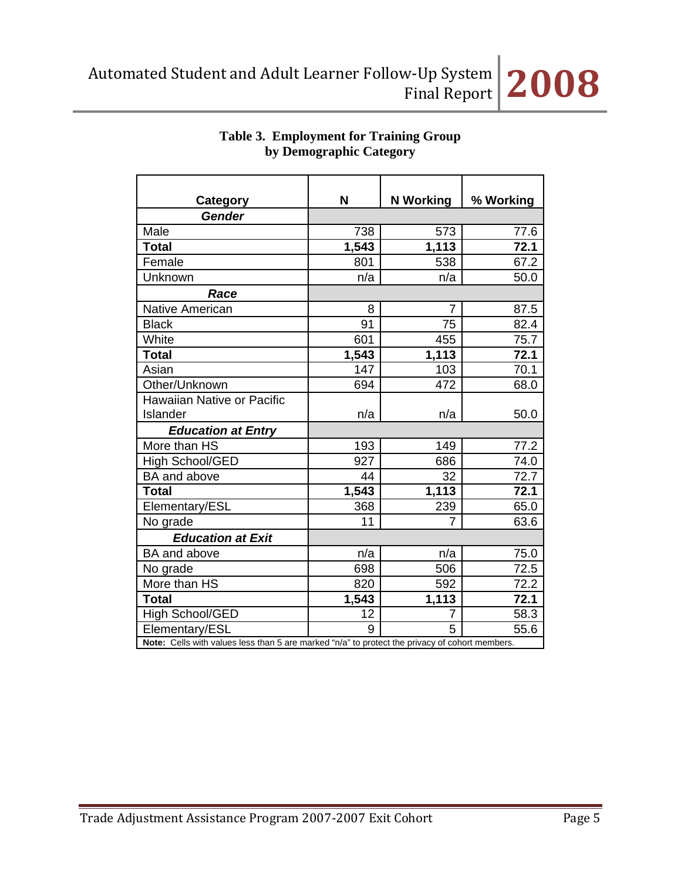

| Category                   | N                                                                                              | <b>N</b> Working | % Working |  |  |
|----------------------------|------------------------------------------------------------------------------------------------|------------------|-----------|--|--|
| Gender                     |                                                                                                |                  |           |  |  |
| Male                       | 738                                                                                            | 573              | 77.6      |  |  |
| <b>Total</b>               | 1,543                                                                                          | 1,113            | 72.1      |  |  |
| Female                     | 801                                                                                            | 538              | 67.2      |  |  |
| Unknown                    | n/a                                                                                            | n/a              | 50.0      |  |  |
| Race                       |                                                                                                |                  |           |  |  |
| Native American            | 8                                                                                              | 7                | 87.5      |  |  |
| <b>Black</b>               | 91                                                                                             | 75               | 82.4      |  |  |
| White                      | 601                                                                                            | 455              | 75.7      |  |  |
| <b>Total</b>               | 1,543                                                                                          | 1,113            | 72.1      |  |  |
| Asian                      | 147                                                                                            | 103              | 70.1      |  |  |
| Other/Unknown              | 694                                                                                            | 472              | 68.0      |  |  |
| Hawaiian Native or Pacific |                                                                                                |                  |           |  |  |
| Islander                   | n/a                                                                                            | n/a              | 50.0      |  |  |
| <b>Education at Entry</b>  |                                                                                                |                  |           |  |  |
| More than HS               | 193                                                                                            | 149              | 77.2      |  |  |
| High School/GED            | 927                                                                                            | 686              | 74.0      |  |  |
| <b>BA</b> and above        | 44                                                                                             | 32               | 72.7      |  |  |
| <b>Total</b>               | 1,543                                                                                          | 1,113            | 72.1      |  |  |
| Elementary/ESL             | 368                                                                                            | 239              | 65.0      |  |  |
| No grade                   | 11                                                                                             | 7                | 63.6      |  |  |
| <b>Education at Exit</b>   |                                                                                                |                  |           |  |  |
| BA and above               | n/a                                                                                            | n/a              | 75.0      |  |  |
| No grade                   | 698                                                                                            | 506              | 72.5      |  |  |
| More than HS               | 820                                                                                            | 592              | 72.2      |  |  |
| <b>Total</b>               | 1,543                                                                                          | 1,113            | 72.1      |  |  |
| High School/GED            | 12                                                                                             | 7                | 58.3      |  |  |
| Elementary/ESL             | 9                                                                                              | 5                | 55.6      |  |  |
|                            | Note: Cells with values less than 5 are marked "n/a" to protect the privacy of cohort members. |                  |           |  |  |

# **Table 3. Employment for Training Group by Demographic Category**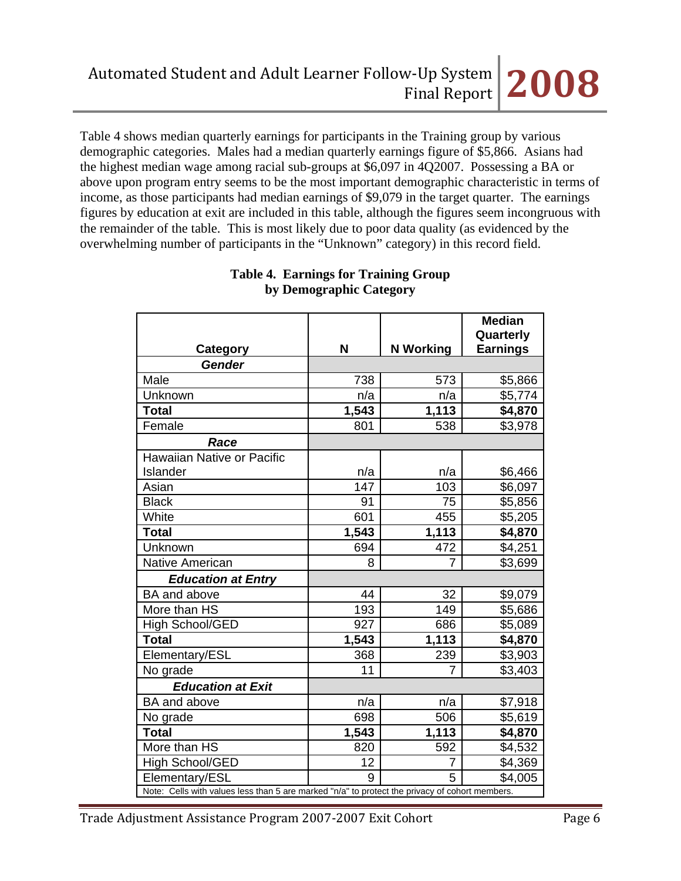Table 4 shows median quarterly earnings for participants in the Training group by various demographic categories. Males had a median quarterly earnings figure of \$5,866. Asians had the highest median wage among racial sub-groups at \$6,097 in 4Q2007. Possessing a BA or above upon program entry seems to be the most important demographic characteristic in terms of income, as those participants had median earnings of \$9,079 in the target quarter. The earnings figures by education at exit are included in this table, although the figures seem incongruous with the remainder of the table. This is most likely due to poor data quality (as evidenced by the overwhelming number of participants in the "Unknown" category) in this record field.

|                            |                                                                                                |                  | <b>Median</b>                |  |  |
|----------------------------|------------------------------------------------------------------------------------------------|------------------|------------------------------|--|--|
|                            | N                                                                                              | <b>N</b> Working | Quarterly<br><b>Earnings</b> |  |  |
| Category<br><b>Gender</b>  |                                                                                                |                  |                              |  |  |
| Male                       |                                                                                                |                  |                              |  |  |
|                            | 738                                                                                            | 573              | \$5,866                      |  |  |
| Unknown                    | n/a                                                                                            | n/a              | \$5,774                      |  |  |
| <b>Total</b>               | 1,543                                                                                          | 1,113            | \$4,870                      |  |  |
| Female                     | 801                                                                                            | 538              | \$3,978                      |  |  |
| Race                       |                                                                                                |                  |                              |  |  |
| Hawaiian Native or Pacific |                                                                                                |                  |                              |  |  |
| Islander                   | n/a                                                                                            | n/a              | \$6,466                      |  |  |
| Asian                      | 147                                                                                            | 103              | \$6,097                      |  |  |
| <b>Black</b>               | 91                                                                                             | 75               | \$5,856                      |  |  |
| White                      | 601                                                                                            | 455              | \$5,205                      |  |  |
| <b>Total</b>               | 1,543                                                                                          | 1,113            | \$4,870                      |  |  |
| Unknown                    | 694                                                                                            | 472              | \$4,251                      |  |  |
| <b>Native American</b>     | 8                                                                                              | 7                | \$3,699                      |  |  |
| <b>Education at Entry</b>  |                                                                                                |                  |                              |  |  |
| BA and above               | 44                                                                                             | 32               | \$9,079                      |  |  |
| More than HS               | 193                                                                                            | 149              | \$5,686                      |  |  |
| <b>High School/GED</b>     | 927                                                                                            | 686              | \$5,089                      |  |  |
| <b>Total</b>               | 1,543                                                                                          | 1,113            | \$4,870                      |  |  |
| Elementary/ESL             | 368                                                                                            | 239              | \$3,903                      |  |  |
| No grade                   | 11                                                                                             | 7                | \$3,403                      |  |  |
| <b>Education at Exit</b>   |                                                                                                |                  |                              |  |  |
| BA and above               | n/a                                                                                            | n/a              | \$7,918                      |  |  |
| No grade                   | 698                                                                                            | 506              | \$5,619                      |  |  |
| <b>Total</b>               | 1,543                                                                                          | 1,113            | \$4,870                      |  |  |
| More than HS               | 820                                                                                            | 592              | \$4,532                      |  |  |
| High School/GED            | 12                                                                                             | 7                | \$4,369                      |  |  |
| Elementary/ESL             | 9                                                                                              | 5                | \$4,005                      |  |  |
|                            | Note: Cells with values less than 5 are marked "n/a" to protect the privacy of cohort members. |                  |                              |  |  |

## **Table 4. Earnings for Training Group by Demographic Category**

Trade Adjustment Assistance Program 2007-2007 Exit Cohort Page 6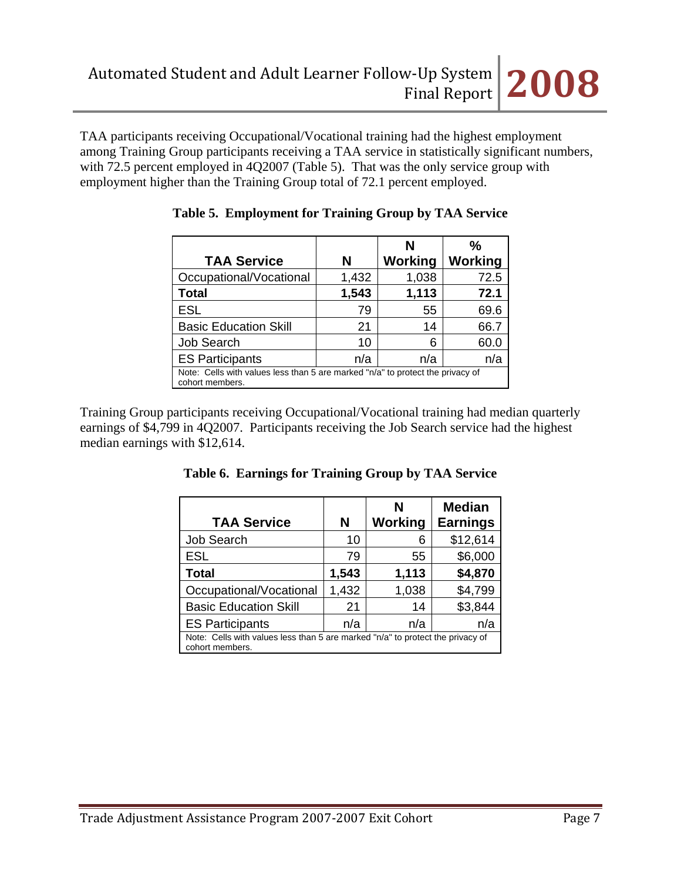TAA participants receiving Occupational/Vocational training had the highest employment among Training Group participants receiving a TAA service in statistically significant numbers, with 72.5 percent employed in 4Q2007 (Table 5). That was the only service group with employment higher than the Training Group total of 72.1 percent employed.

| <b>TAA Service</b>                                                                                | N     | N<br>Working | ℅<br>Working |
|---------------------------------------------------------------------------------------------------|-------|--------------|--------------|
| Occupational/Vocational                                                                           | 1,432 | 1,038        | 72.5         |
| <b>Total</b>                                                                                      | 1,543 | 1,113        | 72.1         |
| <b>ESL</b>                                                                                        | 79    | 55           | 69.6         |
| <b>Basic Education Skill</b>                                                                      | 21    | 14           | 66.7         |
| <b>Job Search</b>                                                                                 | 10    | 6            | 60.0         |
| <b>ES Participants</b>                                                                            | n/a   | n/a          | n/a          |
| Note: Cells with values less than 5 are marked "n/a" to protect the privacy of<br>cohort members. |       |              |              |

|  | Table 5. Employment for Training Group by TAA Service |  |  |  |
|--|-------------------------------------------------------|--|--|--|
|--|-------------------------------------------------------|--|--|--|

Training Group participants receiving Occupational/Vocational training had median quarterly earnings of \$4,799 in 4Q2007. Participants receiving the Job Search service had the highest median earnings with \$12,614.

| <b>TAA Service</b>                                                                                | N     | N<br>Working | <b>Median</b><br><b>Earnings</b> |
|---------------------------------------------------------------------------------------------------|-------|--------------|----------------------------------|
| Job Search                                                                                        | 10    | 6            | \$12,614                         |
| <b>ESL</b>                                                                                        | 79    | 55           | \$6,000                          |
| <b>Total</b>                                                                                      | 1,543 | 1,113        | \$4,870                          |
| Occupational/Vocational                                                                           | 1,432 | 1,038        | \$4,799                          |
| <b>Basic Education Skill</b>                                                                      | 21    | 14           | \$3,844                          |
| <b>ES Participants</b>                                                                            | n/a   | n/a          | n/a                              |
| Note: Cells with values less than 5 are marked "n/a" to protect the privacy of<br>cohort members. |       |              |                                  |

**Table 6. Earnings for Training Group by TAA Service**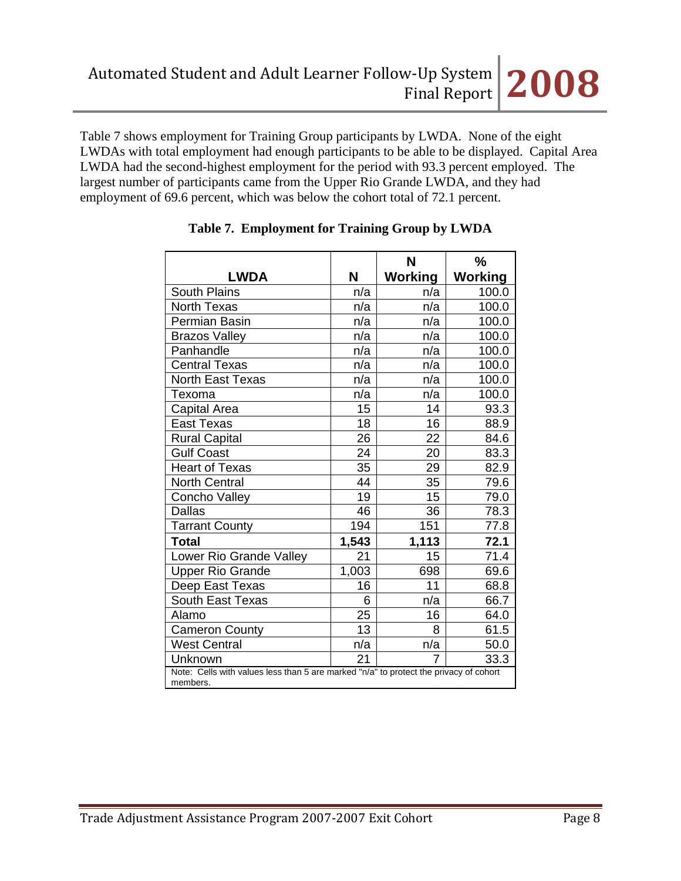Table 7 shows employment for Training Group participants by LWDA. None of the eight LWDAs with total employment had enough participants to be able to be displayed. Capital Area LWDA had the second-highest employment for the period with 93.3 percent employed. The largest number of participants came from the Upper Rio Grande LWDA, and they had employment of 69.6 percent, which was below the cohort total of 72.1 percent.

|                                                                                                   |       | N              | $\frac{0}{0}$  |
|---------------------------------------------------------------------------------------------------|-------|----------------|----------------|
| <b>LWDA</b>                                                                                       | N     | <b>Working</b> | <b>Working</b> |
| <b>South Plains</b>                                                                               | n/a   | n/a            | 100.0          |
| North Texas                                                                                       | n/a   | n/a            | 100.0          |
| Permian Basin                                                                                     | n/a   | n/a            | 100.0          |
| <b>Brazos Valley</b>                                                                              | n/a   | n/a            | 100.0          |
| Panhandle                                                                                         | n/a   | n/a            | 100.0          |
| <b>Central Texas</b>                                                                              | n/a   | n/a            | 100.0          |
| <b>North East Texas</b>                                                                           | n/a   | n/a            | 100.0          |
| Texoma                                                                                            | n/a   | n/a            | 100.0          |
| Capital Area                                                                                      | 15    | 14             | 93.3           |
| <b>East Texas</b>                                                                                 | 18    | 16             | 88.9           |
| <b>Rural Capital</b>                                                                              | 26    | 22             | 84.6           |
| <b>Gulf Coast</b>                                                                                 | 24    | 20             | 83.3           |
| <b>Heart of Texas</b>                                                                             | 35    | 29             | 82.9           |
| <b>North Central</b>                                                                              | 44    | 35             | 79.6           |
| Concho Valley                                                                                     | 19    | 15             | 79.0           |
| <b>Dallas</b>                                                                                     | 46    | 36             | 78.3           |
| <b>Tarrant County</b>                                                                             | 194   | 151            | 77.8           |
| <b>Total</b>                                                                                      | 1,543 | 1,113          | 72.1           |
| Lower Rio Grande Valley                                                                           | 21    | 15             | 71.4           |
| <b>Upper Rio Grande</b>                                                                           | 1,003 | 698            | 69.6           |
| Deep East Texas                                                                                   | 16    | 11             | 68.8           |
| South East Texas                                                                                  | 6     | n/a            | 66.7           |
| Alamo                                                                                             | 25    | 16             | 64.0           |
| <b>Cameron County</b>                                                                             | 13    | 8              | 61.5           |
| <b>West Central</b>                                                                               | n/a   | n/a            | 50.0           |
| Unknown                                                                                           | 21    | 7              | 33.3           |
| Note: Cells with values less than 5 are marked "n/a" to protect the privacy of cohort<br>members. |       |                |                |

# **Table 7. Employment for Training Group by LWDA**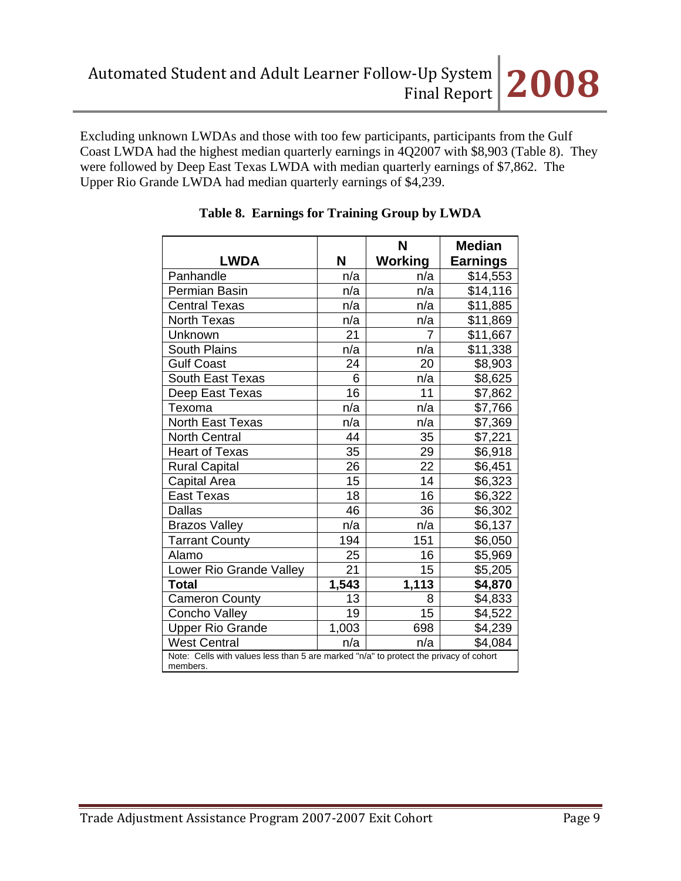Excluding unknown LWDAs and those with too few participants, participants from the Gulf Coast LWDA had the highest median quarterly earnings in 4Q2007 with \$8,903 (Table 8). They were followed by Deep East Texas LWDA with median quarterly earnings of \$7,862. The Upper Rio Grande LWDA had median quarterly earnings of \$4,239.

|                         |                                                                                       | N       | <b>Median</b>   |  |  |
|-------------------------|---------------------------------------------------------------------------------------|---------|-----------------|--|--|
| <b>LWDA</b>             | N                                                                                     | Working | <b>Earnings</b> |  |  |
| Panhandle               | n/a                                                                                   | n/a     | \$14,553        |  |  |
| Permian Basin           | n/a                                                                                   | n/a     | \$14,116        |  |  |
| <b>Central Texas</b>    | n/a                                                                                   | n/a     | \$11,885        |  |  |
| North Texas             | n/a                                                                                   | n/a     | \$11,869        |  |  |
| Unknown                 | 21                                                                                    | 7       | \$11,667        |  |  |
| <b>South Plains</b>     | n/a                                                                                   | n/a     | \$11,338        |  |  |
| <b>Gulf Coast</b>       | 24                                                                                    | 20      | \$8,903         |  |  |
| South East Texas        | 6                                                                                     | n/a     | \$8,625         |  |  |
| Deep East Texas         | 16                                                                                    | 11      | \$7,862         |  |  |
| Texoma                  | n/a                                                                                   | n/a     | \$7,766         |  |  |
| <b>North East Texas</b> | n/a                                                                                   | n/a     | \$7,369         |  |  |
| <b>North Central</b>    | 44                                                                                    | 35      | \$7,221         |  |  |
| <b>Heart of Texas</b>   | 35                                                                                    | 29      | \$6,918         |  |  |
| <b>Rural Capital</b>    | 26                                                                                    | 22      | \$6,451         |  |  |
| Capital Area            | 15                                                                                    | 14      | \$6,323         |  |  |
| <b>East Texas</b>       | 18                                                                                    | 16      | \$6,322         |  |  |
| <b>Dallas</b>           | 46                                                                                    | 36      | \$6,302         |  |  |
| <b>Brazos Valley</b>    | n/a                                                                                   | n/a     | \$6,137         |  |  |
| <b>Tarrant County</b>   | 194                                                                                   | 151     | \$6,050         |  |  |
| Alamo                   | 25                                                                                    | 16      | \$5,969         |  |  |
| Lower Rio Grande Valley | 21                                                                                    | 15      | \$5,205         |  |  |
| <b>Total</b>            | 1,543                                                                                 | 1,113   | \$4,870         |  |  |
| <b>Cameron County</b>   | 13                                                                                    | 8       | \$4,833         |  |  |
| Concho Valley           | 19                                                                                    | 15      | \$4,522         |  |  |
| <b>Upper Rio Grande</b> | 1,003                                                                                 | 698     | \$4,239         |  |  |
| <b>West Central</b>     | n/a                                                                                   | n/a     | \$4,084         |  |  |
| members.                | Note: Cells with values less than 5 are marked "n/a" to protect the privacy of cohort |         |                 |  |  |

# **Table 8. Earnings for Training Group by LWDA**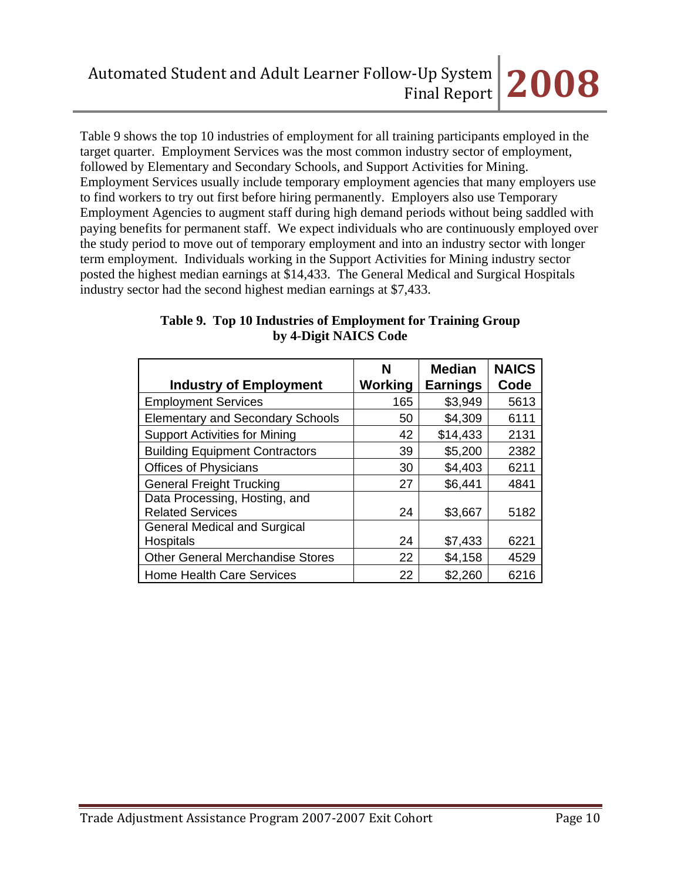# Final Report **2008**

Table 9 shows the top 10 industries of employment for all training participants employed in the target quarter. Employment Services was the most common industry sector of employment, followed by Elementary and Secondary Schools, and Support Activities for Mining. Employment Services usually include temporary employment agencies that many employers use to find workers to try out first before hiring permanently. Employers also use Temporary Employment Agencies to augment staff during high demand periods without being saddled with paying benefits for permanent staff. We expect individuals who are continuously employed over the study period to move out of temporary employment and into an industry sector with longer term employment. Individuals working in the Support Activities for Mining industry sector posted the highest median earnings at \$14,433. The General Medical and Surgical Hospitals industry sector had the second highest median earnings at \$7,433.

| <b>Industry of Employment</b>           | N<br>Working | <b>Median</b><br><b>Earnings</b> | <b>NAICS</b><br>Code |
|-----------------------------------------|--------------|----------------------------------|----------------------|
| <b>Employment Services</b>              | 165          | \$3,949                          | 5613                 |
| <b>Elementary and Secondary Schools</b> | 50           | \$4,309                          | 6111                 |
| <b>Support Activities for Mining</b>    | 42           | \$14,433                         | 2131                 |
| <b>Building Equipment Contractors</b>   | 39           | \$5,200                          | 2382                 |
| <b>Offices of Physicians</b>            | 30           | \$4,403                          | 6211                 |
| <b>General Freight Trucking</b>         | 27           | \$6,441                          | 4841                 |
| Data Processing, Hosting, and           |              |                                  |                      |
| <b>Related Services</b>                 | 24           | \$3,667                          | 5182                 |
| <b>General Medical and Surgical</b>     |              |                                  |                      |
| Hospitals                               | 24           | \$7,433                          | 6221                 |
| <b>Other General Merchandise Stores</b> | 22           | \$4,158                          | 4529                 |
| <b>Home Health Care Services</b>        | 22           | \$2,260                          | 6216                 |

# **Table 9. Top 10 Industries of Employment for Training Group by 4-Digit NAICS Code**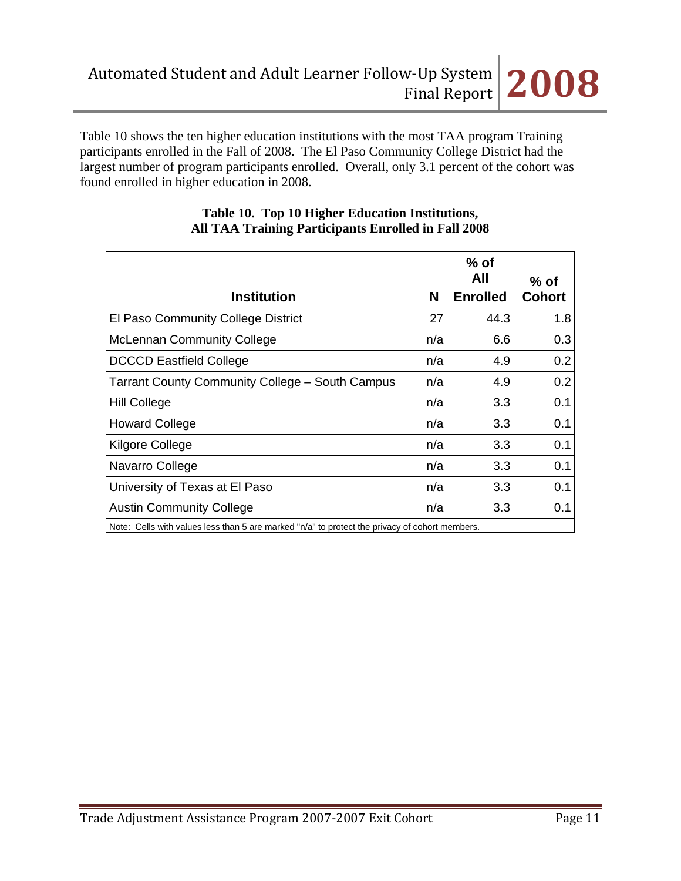Table 10 shows the ten higher education institutions with the most TAA program Training participants enrolled in the Fall of 2008. The El Paso Community College District had the largest number of program participants enrolled. Overall, only 3.1 percent of the cohort was found enrolled in higher education in 2008.

| <b>Institution</b>                                                                              | N   | $%$ of<br>All<br><b>Enrolled</b> | $%$ of<br><b>Cohort</b> |
|-------------------------------------------------------------------------------------------------|-----|----------------------------------|-------------------------|
| El Paso Community College District                                                              | 27  | 44.3                             | 1.8                     |
| <b>McLennan Community College</b>                                                               | n/a | 6.6                              | 0.3                     |
| <b>DCCCD Eastfield College</b>                                                                  | n/a | 4.9                              | 0.2                     |
| <b>Tarrant County Community College - South Campus</b>                                          | n/a | 4.9                              | 0.2                     |
| <b>Hill College</b>                                                                             | n/a | 3.3                              | 0.1                     |
| <b>Howard College</b>                                                                           | n/a | 3.3                              | 0.1                     |
| Kilgore College                                                                                 | n/a | 3.3                              | 0.1                     |
| Navarro College                                                                                 | n/a | 3.3                              | 0.1                     |
| University of Texas at El Paso                                                                  | n/a | 3.3 <sub>2</sub>                 | 0.1                     |
| <b>Austin Community College</b>                                                                 | n/a | 3.3 <sub>2</sub>                 | 0.1                     |
| Note: Colle with values loss than $5$ are marked "n/a" to protect the privacy of schort mombers |     |                                  |                         |

### **Table 10. Top 10 Higher Education Institutions, All TAA Training Participants Enrolled in Fall 2008**

Note: Cells with values less than 5 are marked "n/a" to protect the privacy of cohort members.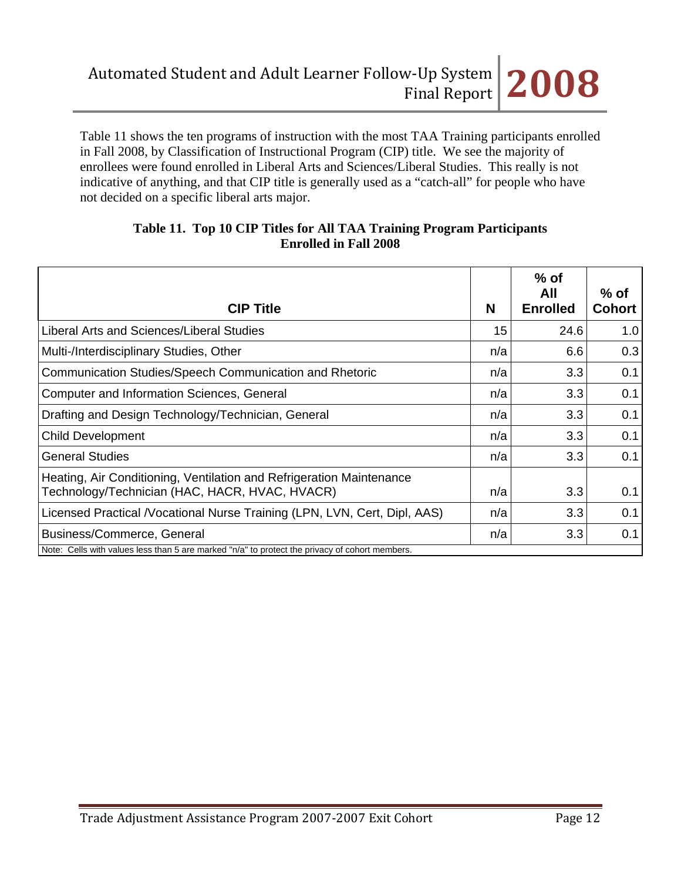Table 11 shows the ten programs of instruction with the most TAA Training participants enrolled in Fall 2008, by Classification of Instructional Program (CIP) title. We see the majority of enrollees were found enrolled in Liberal Arts and Sciences/Liberal Studies. This really is not indicative of anything, and that CIP title is generally used as a "catch-all" for people who have not decided on a specific liberal arts major.

| <b>CIP Title</b>                                                                                                       | N   | $%$ of<br>All<br><b>Enrolled</b> | $%$ of<br><b>Cohort</b> |
|------------------------------------------------------------------------------------------------------------------------|-----|----------------------------------|-------------------------|
| Liberal Arts and Sciences/Liberal Studies                                                                              | 15  | 24.6                             | 1.0                     |
| Multi-/Interdisciplinary Studies, Other                                                                                | n/a | 6.6                              | 0.3                     |
| Communication Studies/Speech Communication and Rhetoric                                                                | n/a | 3.3                              | 0.1                     |
| Computer and Information Sciences, General                                                                             | n/a | 3.3                              | 0.1                     |
| Drafting and Design Technology/Technician, General                                                                     | n/a | 3.3                              | 0.1                     |
| <b>Child Development</b>                                                                                               | n/a | 3.3                              | 0.1                     |
| <b>General Studies</b>                                                                                                 | n/a | 3.3                              | 0.1                     |
| Heating, Air Conditioning, Ventilation and Refrigeration Maintenance<br>Technology/Technician (HAC, HACR, HVAC, HVACR) | n/a | 3.3                              | 0.1                     |
| Licensed Practical /Vocational Nurse Training (LPN, LVN, Cert, Dipl, AAS)                                              | n/a | 3.3                              | 0.1                     |
| Business/Commerce, General                                                                                             | n/a | 3.3                              | 0.1                     |
| Note: Cells with values less than 5 are marked "n/a" to protect the privacy of cohort members.                         |     |                                  |                         |

### **Table 11. Top 10 CIP Titles for All TAA Training Program Participants Enrolled in Fall 2008**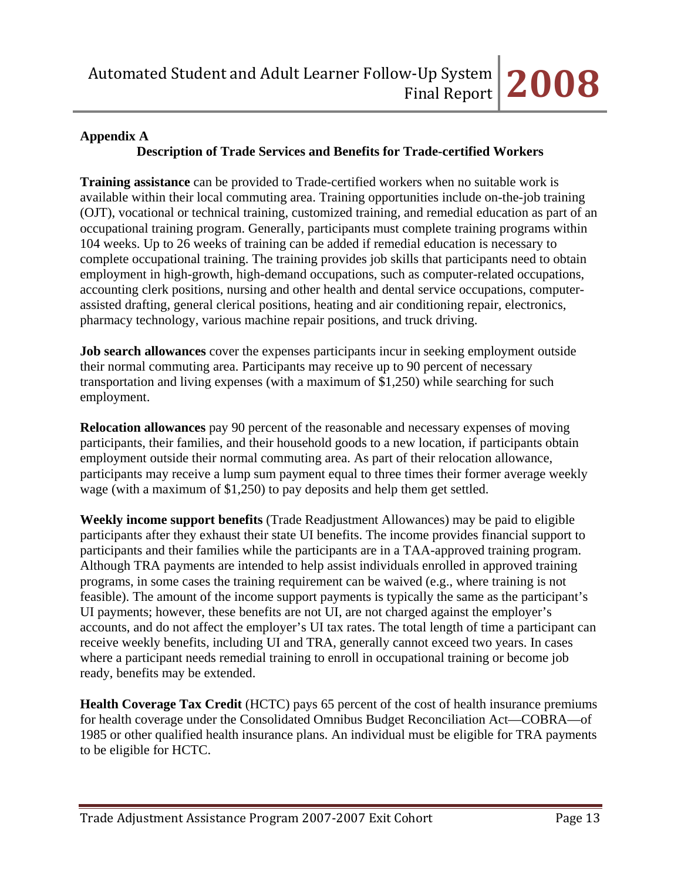# **Appendix A**

# **Description of Trade Services and Benefits for Trade-certified Workers**

**Training assistance** can be provided to Trade-certified workers when no suitable work is available within their local commuting area. Training opportunities include on-the-job training (OJT), vocational or technical training, customized training, and remedial education as part of an occupational training program. Generally, participants must complete training programs within 104 weeks. Up to 26 weeks of training can be added if remedial education is necessary to complete occupational training. The training provides job skills that participants need to obtain employment in high-growth, high-demand occupations, such as computer-related occupations, accounting clerk positions, nursing and other health and dental service occupations, computerassisted drafting, general clerical positions, heating and air conditioning repair, electronics, pharmacy technology, various machine repair positions, and truck driving.

**Job search allowances** cover the expenses participants incur in seeking employment outside their normal commuting area. Participants may receive up to 90 percent of necessary transportation and living expenses (with a maximum of \$1,250) while searching for such employment.

**Relocation allowances** pay 90 percent of the reasonable and necessary expenses of moving participants, their families, and their household goods to a new location, if participants obtain employment outside their normal commuting area. As part of their relocation allowance, participants may receive a lump sum payment equal to three times their former average weekly wage (with a maximum of \$1,250) to pay deposits and help them get settled.

**Weekly income support benefits** (Trade Readjustment Allowances) may be paid to eligible participants after they exhaust their state UI benefits. The income provides financial support to participants and their families while the participants are in a TAA-approved training program. Although TRA payments are intended to help assist individuals enrolled in approved training programs, in some cases the training requirement can be waived (e.g., where training is not feasible). The amount of the income support payments is typically the same as the participant's UI payments; however, these benefits are not UI, are not charged against the employer's accounts, and do not affect the employer's UI tax rates. The total length of time a participant can receive weekly benefits, including UI and TRA, generally cannot exceed two years. In cases where a participant needs remedial training to enroll in occupational training or become job ready, benefits may be extended.

**Health Coverage Tax Credit** (HCTC) pays 65 percent of the cost of health insurance premiums for health coverage under the Consolidated Omnibus Budget Reconciliation Act—COBRA—of 1985 or other qualified health insurance plans. An individual must be eligible for TRA payments to be eligible for HCTC.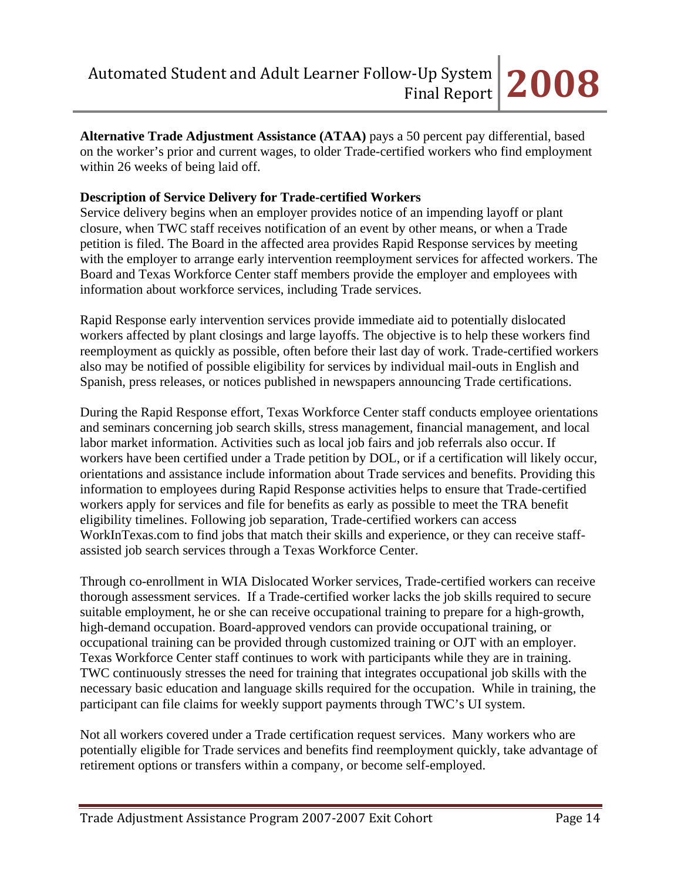**Alternative Trade Adjustment Assistance (ATAA)** pays a 50 percent pay differential, based on the worker's prior and current wages, to older Trade-certified workers who find employment within 26 weeks of being laid off.

## **Description of Service Delivery for Trade-certified Workers**

Service delivery begins when an employer provides notice of an impending layoff or plant closure, when TWC staff receives notification of an event by other means, or when a Trade petition is filed. The Board in the affected area provides Rapid Response services by meeting with the employer to arrange early intervention reemployment services for affected workers. The Board and Texas Workforce Center staff members provide the employer and employees with information about workforce services, including Trade services.

Rapid Response early intervention services provide immediate aid to potentially dislocated workers affected by plant closings and large layoffs. The objective is to help these workers find reemployment as quickly as possible, often before their last day of work. Trade-certified workers also may be notified of possible eligibility for services by individual mail-outs in English and Spanish, press releases, or notices published in newspapers announcing Trade certifications.

During the Rapid Response effort, Texas Workforce Center staff conducts employee orientations and seminars concerning job search skills, stress management, financial management, and local labor market information. Activities such as local job fairs and job referrals also occur. If workers have been certified under a Trade petition by DOL, or if a certification will likely occur, orientations and assistance include information about Trade services and benefits. Providing this information to employees during Rapid Response activities helps to ensure that Trade-certified workers apply for services and file for benefits as early as possible to meet the TRA benefit eligibility timelines. Following job separation, Trade-certified workers can access WorkInTexas.com to find jobs that match their skills and experience, or they can receive staffassisted job search services through a Texas Workforce Center.

Through co-enrollment in WIA Dislocated Worker services, Trade-certified workers can receive thorough assessment services. If a Trade-certified worker lacks the job skills required to secure suitable employment, he or she can receive occupational training to prepare for a high-growth, high-demand occupation. Board-approved vendors can provide occupational training, or occupational training can be provided through customized training or OJT with an employer. Texas Workforce Center staff continues to work with participants while they are in training. TWC continuously stresses the need for training that integrates occupational job skills with the necessary basic education and language skills required for the occupation. While in training, the participant can file claims for weekly support payments through TWC's UI system.

Not all workers covered under a Trade certification request services. Many workers who are potentially eligible for Trade services and benefits find reemployment quickly, take advantage of retirement options or transfers within a company, or become self-employed.